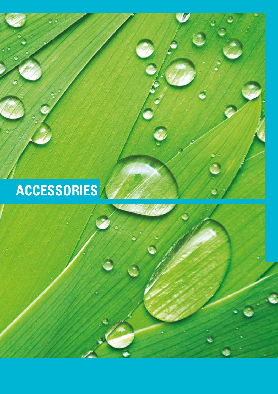# **ACCESSORIES**

**DRAFT COPY**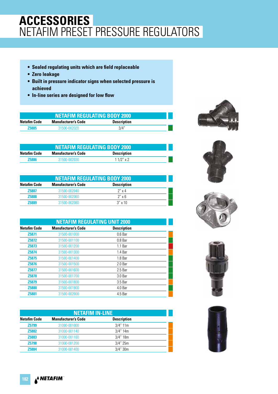# **ACCESSORIES** NETAFIM PRESET PRESSURE REGULATORS

- **Sealed regulating units which are field replaceable**
- **Zero leakage**
- **Built in pressure indicator signs when selected pressure is achieved**
- **In-line series are designed for low flow**

| <b>NETAFIM REGULATING BODY 2000</b> |                            |                    |  |
|-------------------------------------|----------------------------|--------------------|--|
| Netafim Code                        | <b>Manufacturer's Code</b> | <b>Description</b> |  |
| <b>Z5885</b>                        | 31500-002020               | 3/4"               |  |

| <b>NETAFIM REGULATING BODY 2000</b> |                            |                    |  |  |
|-------------------------------------|----------------------------|--------------------|--|--|
| <b>Netafim Code</b>                 | <b>Manufacturer's Code</b> | <b>Description</b> |  |  |
| <b>Z5886</b>                        | 31500-002030               | $11/2$ " x 2       |  |  |

| <b>NETAFIM REGULATING BODY 2000</b> |                            |                    |  |
|-------------------------------------|----------------------------|--------------------|--|
| <b>Netafim Code</b>                 | <b>Manufacturer's Code</b> | <b>Description</b> |  |
| <b>Z5887</b>                        | 31500-002040               | $2''$ x 4          |  |
| <b>Z5888</b>                        | 31500-002060               | $2''$ x 6          |  |
| 75889                               | 31500-002080               | $3'' \times 10$    |  |

|                     | <b>NETAFIM REGULATING UNIT 2000</b> |                    |  |  |
|---------------------|-------------------------------------|--------------------|--|--|
| <b>Netafim Code</b> | <b>Manufacturer's Code</b>          | <b>Description</b> |  |  |
| Z5871               | 31500-001000                        | 0.6 <sub>Bar</sub> |  |  |
| <b>Z5872</b>        | 31500-001100                        | 0.8 <sub>Bar</sub> |  |  |
| Z5873               | 31500-001200                        | 1.1 <sub>Bar</sub> |  |  |
| Z5874               | 31500-001300                        | 1.4 Bar            |  |  |
| Z <sub>5875</sub>   | 31500-001400                        | 1.8 Bar            |  |  |
| <b>Z5876</b>        | 31500-001500                        | 2.0 Bar            |  |  |
| <b>Z5877</b>        | 31500-001600                        | 2.5 Bar            |  |  |
| <b>Z5878</b>        | 31500-001700                        | 3.0 Bar            |  |  |
| Z <sub>5879</sub>   | 31500-001800                        | 3.5 Bar            |  |  |
| <b>Z5880</b>        | 31500-001900                        | 4.0 Bar            |  |  |
| <b>Z5881</b>        | 31500-002000                        | 4.5 Bar            |  |  |

| <b>NETAFIM IN-LINE</b> |                            |                    |  |
|------------------------|----------------------------|--------------------|--|
| <b>Netafim Code</b>    | <b>Manufacturer's Code</b> | <b>Description</b> |  |
| Z5799                  | 31000-001000               | 3/4"11m            |  |
| <b>Z5882</b>           | 31000-001140               | $3/4"$ 14m         |  |
| Z5883                  | 31000-001160               | $3/4"$ 18m         |  |
| <b>Z5798</b>           | 31000-001200               | 3/4" 25m           |  |
| 75884                  | 31000-001400               | $3/4$ " $30m$      |  |











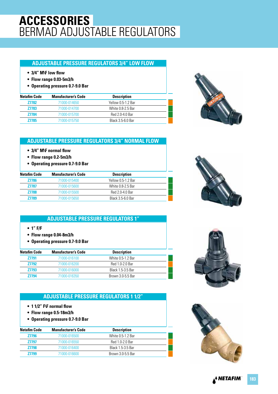# **ACCESSORIES** BERMAD ADJUSTABLE REGULATORS

#### **ADJUSTABLE PRESSURE REGULATORS 3/4" LOW FLOW**

- **3/4" M\F low flow**
- **Flow range 0.03-5m3/h**
- **Operating pressure 0.7-9.0 Bar**

| Netafim Code | <b>Manufacturer's Code</b> | <b>Description</b> |  |
|--------------|----------------------------|--------------------|--|
| <b>Z7782</b> | 71000-014650               | Yellow 0.5-1.2 Bar |  |
| <b>Z7783</b> | 71000-014700               | White 0.8-2.5 Bar  |  |
| <b>Z7784</b> | 71000-015700               | Red 2.0-4.0 Bar    |  |
| <b>Z7785</b> | 71000-015750               | Black 3.5-6.0 Bar  |  |



### **ADJUSTABLE PRESSURE REGULATORS 3/4" NORMAL FLOW**

- **3/4" M\F normal flow**
- **Flow range 0.2-5m3/h**
- **Operating pressure 0.7-9.0 Bar**

| <b>Netafim Code</b> | <b>Manufacturer's Code</b> | <b>Description</b> |  |
|---------------------|----------------------------|--------------------|--|
| <b>Z7786</b>        | 71000-015400               | Yellow 0.5-1.2 Bar |  |
| <b>Z7787</b>        | 71000-015600               | White 0.8-2.5 Bar  |  |
| <b>Z7788</b>        | 71000-015500               | Red 2.0-4.0 Bar    |  |
| 77789               | 71000-015650               | Black 3 5-6 0 Bar  |  |

### **ADJUSTABLE PRESSURE REGULATORS 1"**

- **1" F/F**
- **Flow range 0.04-8m3/h**
- **Operating pressure 0.7-9.0 Bar**

| <b>Netafim Code</b> | <b>Manufacturer's Code</b> | <b>Description</b> |  |
|---------------------|----------------------------|--------------------|--|
| <b>Z7791</b>        | 71000-016100               | White 0.5-1.2 Bar  |  |
| <b>Z7792</b>        | 71000-016200               | Red 1.0-2.0 Bar    |  |
| <b>Z7793</b>        | 71000-016000               | Black 1.5-3.5 Bar  |  |
| 77794               | 71000-016350               | Brown 3.0-5.5 Bar  |  |

### **ADJUSTABLE PRESSURE REGULATORS 1 1/2"**

- **1 1/2" F\F normal flow**
- **Flow range 0.5-18m3/h**
- **Operating pressure 0.7-9.0 Bar**

| Netafim Code | <b>Manufacturer's Code</b> | <b>Description</b> |  |
|--------------|----------------------------|--------------------|--|
| <b>Z7796</b> | 71000-016500               | White 0.5-1.2 Bar  |  |
| <b>Z7797</b> | 71000-016550               | Red 1.0-2.0 Bar    |  |
| <b>Z7798</b> | 71000-016400               | Black 1.5-3.5 Bar  |  |
| <b>Z7799</b> | 71000-016600               | Brown 3.0-5.5 Bar  |  |
|              |                            |                    |  |





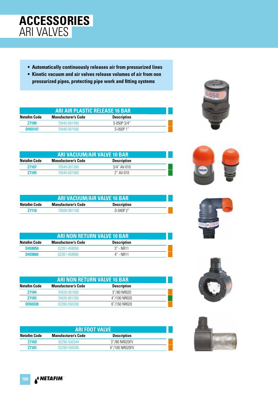

- **Automatically continuously releases air from pressurized lines**
- **Kinetic vacuum and air valves release volumes of air from non pressurized pipes, protecting pipe work and fitting systems**

| ARI AIR PLASTIC RELEASE 16 BAR                                          |              |             |  |  |
|-------------------------------------------------------------------------|--------------|-------------|--|--|
| <b>Description</b><br><b>Netafim Code</b><br><b>Manufacturer's Code</b> |              |             |  |  |
| <b>Z7100</b>                                                            | 70440-001400 | S-050P 3/4" |  |  |
| $S-050P1"$<br>D455147<br>70440-001500                                   |              |             |  |  |

| <b>ARI VACUUM/AIR VALVE 10 BAR</b>                                      |              |             |  |  |  |
|-------------------------------------------------------------------------|--------------|-------------|--|--|--|
| <b>Description</b><br><b>Netafim Code</b><br><b>Manufacturer's Code</b> |              |             |  |  |  |
| <b>Z7107</b>                                                            | 70540-001300 | 3/4" AV-010 |  |  |  |
| $2''$ AV-010<br><b>Z7105</b><br>70540-001500                            |              |             |  |  |  |

| <b>ARI VACUUM/AIR VALVE 16 BAR</b>                               |              |             |  |  |
|------------------------------------------------------------------|--------------|-------------|--|--|
| Netafim Code<br><b>Description</b><br><b>Manufacturer's Code</b> |              |             |  |  |
| <b>Z7110</b>                                                     | 70500-001100 | $D-040P$ 2" |  |  |

| <b>ARI NON RETURN VALVE 10 BAR</b> |                            |                    |  |
|------------------------------------|----------------------------|--------------------|--|
| <b>Netafim Code</b>                | <b>Manufacturer's Code</b> | <b>Description</b> |  |
| D459050                            | 02261-459050               | 3" - NR11          |  |
| D459060                            | 02261-459060               | 4" - NR11          |  |

| <b>ARI NON RETURN VALVE 16 BAR</b> |                            |                    |  |
|------------------------------------|----------------------------|--------------------|--|
| <b>Netafim Code</b>                | <b>Manufacturer's Code</b> | <b>Description</b> |  |
| <b>Z7104</b>                       | 70420-001000               | 3"/80 NR020        |  |
| <b>Z7103</b>                       | 70420-001200               | 4"/100 NR020       |  |
| <b>D550338</b>                     | 02260-550338               | 6"/150 NR020       |  |

| <b>ARI FOOT VALVE</b> |                            |                    |  |
|-----------------------|----------------------------|--------------------|--|
| <b>Netafim Code</b>   | <b>Manufacturer's Code</b> | <b>Description</b> |  |
| 77102                 | 02260-550344               | 3"/80 NR020FV      |  |
| 77101                 | 02260-550345               | 4"/100 NR020FV     |  |









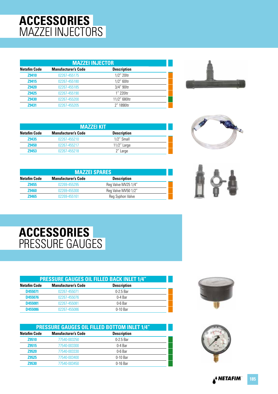# **ACCESSORIES** MAZZEI INJECTORS

| <b>MAZZEI INJECTOR</b>                                                  |              |              |  |  |
|-------------------------------------------------------------------------|--------------|--------------|--|--|
| <b>Netafim Code</b><br><b>Manufacturer's Code</b><br><b>Description</b> |              |              |  |  |
| <b>Z9410</b>                                                            | 02267-455175 | 1/2" 20ltr   |  |  |
| Z9415                                                                   | 02267-455180 | 1/2" 60ltr   |  |  |
| <b>Z9420</b>                                                            | 02267-455185 | 3/4" 90ltr   |  |  |
| <b>Z9425</b>                                                            | 02267-455190 | 1" 220ltr    |  |  |
| <b>Z9430</b>                                                            | 02267-455200 | 11/2" 680ltr |  |  |
| 79431                                                                   | 02267-455205 | 2" 1890 tr   |  |  |



| <b>MAZZEI KIT</b>   |                            |                    |  |
|---------------------|----------------------------|--------------------|--|
| <b>Netafim Code</b> | <b>Manufacturer's Code</b> | <b>Description</b> |  |
| Z9435               | 02267-455210               | 1/2" Small         |  |
| <b>Z9450</b>        | 02267-455217               | $11/2$ " Large     |  |
| <b>Z9453</b>        | 02267-455218               | 2" Large           |  |

| ī |  |
|---|--|
|   |  |

| <b>MAZZEI SPARES</b>       |                     |  |  |
|----------------------------|---------------------|--|--|
| <b>Manufacturer's Code</b> | <b>Description</b>  |  |  |
| 02269-455295               | Reg Valve MV25 1/4" |  |  |
| 02269-455300               | Reg Valve MV50 1/2" |  |  |
| 02269-455161               | Reg Syphon Valve    |  |  |
|                            |                     |  |  |

### **ACCESSORIES** PRESSURE GAUGES

| <b>PRESSURE GAUGES OIL FILLED BACK INLET 1/4"</b> |                            |                    |  |
|---------------------------------------------------|----------------------------|--------------------|--|
| <b>Netafim Code</b>                               | <b>Manufacturer's Code</b> | <b>Description</b> |  |
| D455071                                           | 02267-455071               | 0-2.5 Bar          |  |
| D455076                                           | 02267-455076               | 0-4 Bar            |  |
| D455081                                           | 02267-455081               | 0-6 Bar            |  |
| <b>D455086</b>                                    | 02267-455086               | $0-10$ Bar         |  |

| <b>PRESSURE GAUGES OIL FILLED BOTTOM INLET 1/4"</b> |                            |                    |  |
|-----------------------------------------------------|----------------------------|--------------------|--|
| <b>Netafim Code</b>                                 | <b>Manufacturer's Code</b> | <b>Description</b> |  |
| <b>Z9510</b>                                        | 77540-003250               | 0-2.5 Bar          |  |
| <b>Z9515</b>                                        | 77540-003300               | 0-4 Bar            |  |
| <b>Z9520</b>                                        | 77540-003330               | 0-6 Bar            |  |
| <b>Z9525</b>                                        | 77540-003400               | 0-10 Bar           |  |
| <b>Z9530</b>                                        | 77540-003450               | 0-16 Bar           |  |



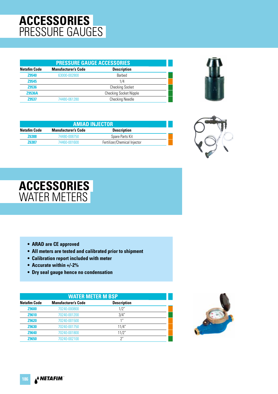# **ACCESSORIES** PRESSURE GAUGES

| <b>PRESSURE GAUGE ACCESSORIES</b> |                            |                               |  |
|-----------------------------------|----------------------------|-------------------------------|--|
| <b>Netafim Code</b>               | <b>Manufacturer's Code</b> | <b>Description</b>            |  |
| <b>Z9540</b>                      | 63000-002800               | <b>Barbed</b>                 |  |
| <b>Z9545</b>                      |                            | 1/4                           |  |
| <b>Z9536</b>                      |                            | <b>Checking Socket</b>        |  |
| <b>Z9536A</b>                     |                            | <b>Checking Socket Nipple</b> |  |
| 79537                             | 74480-061280               | <b>Checking Needle</b>        |  |



| <b>AMIAD INJECTOR</b>                                            |                              |  |  |
|------------------------------------------------------------------|------------------------------|--|--|
| Netafim Code<br><b>Description</b><br><b>Manufacturer's Code</b> |                              |  |  |
| 74480-008750                                                     | Spare Parts Kit              |  |  |
| 74460-001600                                                     | Fertilizer/Chemical Injector |  |  |
|                                                                  |                              |  |  |



### **ACCESSORIES** WATER METERS

- **ARAD are CE approved**
- **All meters are tested and calibrated prior to shipment**
- **Calibration report included with meter**
- **Accurate within +/-2%**
- **Dry seal gauge hence no condensation**

| <b>WATER METER M BSP</b>                                                |              |       |  |  |  |
|-------------------------------------------------------------------------|--------------|-------|--|--|--|
| <b>Netafim Code</b><br><b>Description</b><br><b>Manufacturer's Code</b> |              |       |  |  |  |
| <b>Z9600</b>                                                            | 70240-000800 | 1/2"  |  |  |  |
| Z9610                                                                   | 70240-001200 | 3/4"  |  |  |  |
| <b>Z9620</b>                                                            | 70240-001500 | 1"    |  |  |  |
| <b>Z9630</b>                                                            | 70240-001750 | 11/4" |  |  |  |
| <b>Z9640</b>                                                            | 70240-001800 | 11/2" |  |  |  |
| <b>Z9650</b>                                                            | 70240-002100 | 2"    |  |  |  |

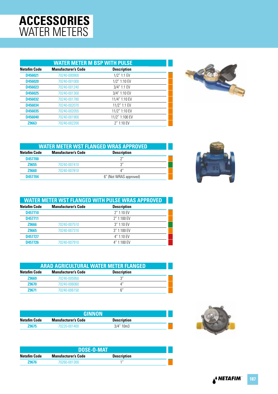# **ACCESSORIES** WATER METERS

| <b>WATER METER M BSP WITH PULSE</b> |                            |                    |  |
|-------------------------------------|----------------------------|--------------------|--|
| <b>Netafim Code</b>                 | <b>Manufacturer's Code</b> | <b>Description</b> |  |
| D456021                             | 70240-000900               | $1/2$ " 1:1 EV     |  |
| D456020                             | 70240-001000               | 1/2" 1:10 EV       |  |
| D456023                             | 70240-001240               | 3/4" 1:1 EV        |  |
| D456025                             | 70240-001300               | 3/4" 1:10 EV       |  |
| D456032                             | 70240-001780               | 11/4" 1:10 EV      |  |
| D456034                             | 70240-002070               | 11/2" 1:1 EV       |  |
| D456035                             | 70240-002055               | 11/2" 1:10 EV      |  |
| D456040                             | 70240-001900               | 11/2" 1:100 EV     |  |
| Z9663                               | 70240-002200               | $2''$ 1:10 EV      |  |



| <b>WATER METER WST FLANGED WRAS APPROVED</b> |                            |                        |  |
|----------------------------------------------|----------------------------|------------------------|--|
| <b>Netafim Code</b>                          | <b>Manufacturer's Code</b> | <b>Description</b>     |  |
| D457700                                      |                            | יירי                   |  |
| <b>Z9655</b>                                 | 70240-007410               | ر?                     |  |
| <b>Z9660</b>                                 | 70240-007810               | Δ″                     |  |
| D457704                                      |                            | 6" (Not WRAS approved) |  |



| <b>WATER METER WST FLANGED WITH PULSE WRAS APPROVED</b> |                            |                    |
|---------------------------------------------------------|----------------------------|--------------------|
| <b>Netafim Code</b>                                     | <b>Manufacturer's Code</b> | <b>Description</b> |
| D457710                                                 |                            | $2''$ 1:10 EV      |
| D457711                                                 |                            | 2" 1:100 EV        |
| <b>Z9666</b>                                            | 70240-007510               | $3''$ 1:10 EV      |
| Z9665                                                   | 70240-007310               | $3''$ 1:100 EV     |
| D457727                                                 |                            | 4" 1:10 EV         |
| D457726                                                 | 70240-007910               | 4" 1:100 EV        |

| <b>ARAD AGRICULTURAL WATER METER FLANGED</b> |                            |                    |  |
|----------------------------------------------|----------------------------|--------------------|--|
| Netafim Code                                 | <b>Manufacturer's Code</b> | <b>Description</b> |  |
| <b>Z9669</b>                                 | 70240-005950               | ں ج                |  |
| <b>Z9670</b>                                 | 70240-006060               |                    |  |
| 79671                                        | 70240-006150               | 6''                |  |

| GINNON                                                           |              |                 |  |  |
|------------------------------------------------------------------|--------------|-----------------|--|--|
| Netafim Code<br><b>Description</b><br><b>Manufacturer's Code</b> |              |                 |  |  |
| <b>Z9675</b>                                                     | 70220-001400 | $3/4$ " 10m $3$ |  |  |

| <b>DOSE-O-MAT</b> |                            |                    |  |
|-------------------|----------------------------|--------------------|--|
| Netafim Code      | <b>Manufacturer's Code</b> | <b>Description</b> |  |
| <b>Z9676</b>      | 70260-001300               | 11                 |  |

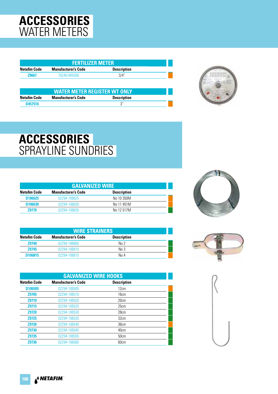# **ACCESSORIES** WATER METERS

| <b>FERTILIZER METER</b>                                                 |                                                                   |                    |  |  |  |
|-------------------------------------------------------------------------|-------------------------------------------------------------------|--------------------|--|--|--|
| <b>Netafim Code</b><br><b>Manufacturer's Code</b><br><b>Description</b> |                                                                   |                    |  |  |  |
| <b>Z9667</b>                                                            | 70240-005300                                                      | 3/4"               |  |  |  |
|                                                                         |                                                                   |                    |  |  |  |
|                                                                         |                                                                   |                    |  |  |  |
| <b>Netafim Code</b>                                                     | <b>WATER METER REGISTER WT ONLY</b><br><b>Manufacturer's Code</b> | <b>Description</b> |  |  |  |



# **ACCESSORIES** SPRAYLINE SUNDRIES

| <b>GALVANIZED WIRE</b> |                            |                    |  |
|------------------------|----------------------------|--------------------|--|
| <b>Netafim Code</b>    | <b>Manufacturer's Code</b> | <b>Description</b> |  |
| D <sub>106625</sub>    | 02294-106625               | No 10 350M         |  |
| D <sub>106630</sub>    | 02294-106630               | No 11 451M         |  |
| 79770                  | 02294-106635               | No 12 517M         |  |

| <b>WIRE STRAINERS</b> |                            |                    |  |
|-----------------------|----------------------------|--------------------|--|
| <b>Netafim Code</b>   | <b>Manufacturer's Code</b> | <b>Description</b> |  |
| <b>Z9740</b>          | 02294-106805               | $N0$ 2             |  |
| Z9745                 | 02294-106810               | No 3               |  |
| D106815               | 02294-106815               | No 4               |  |

| <b>GALVANIZED WIRE HOOKS</b>                                            |              |      |  |  |  |
|-------------------------------------------------------------------------|--------------|------|--|--|--|
| <b>Netafim Code</b><br><b>Manufacturer's Code</b><br><b>Description</b> |              |      |  |  |  |
| D106505                                                                 | 02294-106505 | 12cm |  |  |  |
| <b>Z9705</b>                                                            | 02294-106510 | 16cm |  |  |  |
| <b>Z9710</b>                                                            | 02294-106520 | 20cm |  |  |  |
| <b>Z9715</b>                                                            | 02294-106525 | 25cm |  |  |  |
| <b>Z9720</b>                                                            | 02294-106530 | 28cm |  |  |  |
| <b>Z9725</b>                                                            | 02294-106535 | 32cm |  |  |  |
| <b>Z9726</b>                                                            | 02294-106540 | 36cm |  |  |  |
| <b>Z9730</b>                                                            | 02294-106545 | 40cm |  |  |  |
| <b>Z9735</b>                                                            | 02294-106555 | 50cm |  |  |  |
| Z9736                                                                   | 02294-106560 | 60cm |  |  |  |





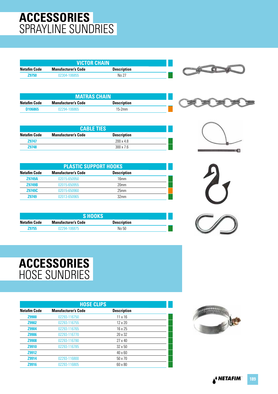# **ACCESSORIES** SPRAYLINE SUNDRIES

| <b>VICTOR CHAIN</b>                                              |              |       |  |  |
|------------------------------------------------------------------|--------------|-------|--|--|
| Netafim Code<br><b>Manufacturer's Code</b><br><b>Description</b> |              |       |  |  |
| <b>Z9750</b>                                                     | 02304-106855 | No 27 |  |  |

| <b>MATRAS CHAIN</b> |                            |                    |  |  |  |
|---------------------|----------------------------|--------------------|--|--|--|
| <b>Netafim Code</b> | <b>Manufacturer's Code</b> | <b>Description</b> |  |  |  |
| D <sub>106865</sub> | $15-2mm$<br>02294-106865   |                    |  |  |  |

| <b>CABLE TIES</b> |                            |                    |  |
|-------------------|----------------------------|--------------------|--|
| Netafim Code      | <b>Manufacturer's Code</b> | <b>Description</b> |  |
| <b>Z9747</b>      |                            | $200 \times 48$    |  |
| <b>Z9748</b>      |                            | $300 \times 7.6$   |  |

| <b>PLASTIC SUPPORT HOOKS</b> |                            |                    |  |
|------------------------------|----------------------------|--------------------|--|
| <b>Netafim Code</b>          | <b>Manufacturer's Code</b> | <b>Description</b> |  |
| <b>Z9749A</b>                | 02015-650950               | 16mm               |  |
| <b>Z9749B</b>                | 02015-650955               | 20 <sub>mm</sub>   |  |
| Z9749C                       | 02015-650960               | 25mm               |  |
| <b>Z9749</b>                 | 02013-650965               | 32 <sub>mm</sub>   |  |

| <b>S HOOKS</b> |                            |                    |  |
|----------------|----------------------------|--------------------|--|
| Netafim Code   | <b>Manufacturer's Code</b> | <b>Description</b> |  |
| <b>Z9755</b>   | 02294-106875               | No 50              |  |







### **ACCESSORIES** HOSE SUNDRIES

|                     | <b>HOSE CLIPS</b>          |                    |  |  |  |
|---------------------|----------------------------|--------------------|--|--|--|
| <b>Netafim Code</b> | <b>Manufacturer's Code</b> | <b>Description</b> |  |  |  |
| <b>Z9900</b>        | 02293-116750               | $11 \times 16$     |  |  |  |
| <b>Z9902</b>        | 02293-116755               | $12 \times 20$     |  |  |  |
| Z9904               | 02293-116765               | 16 x 25            |  |  |  |
| <b>Z9906</b>        | 02293-116770               | 20 x 32            |  |  |  |
| <b>Z9908</b>        | 02293-116780               | $27 \times 40$     |  |  |  |
| Z9910               | 02293-116785               | $32 \times 50$     |  |  |  |
| Z9912               |                            | $40 \times 60$     |  |  |  |
| Z9914               | 02293-116800               | $50 \times 70$     |  |  |  |
| Z9916               | 02293-116805               | 60 x 80            |  |  |  |

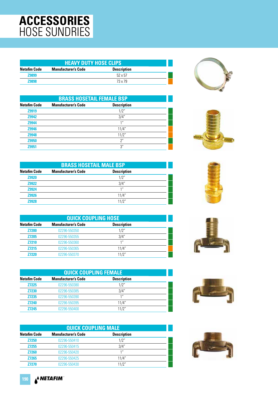# **ACCESSORIES** HOSE SUNDRIES

| <b>HEAVY DUTY HOSE CLIPS</b>                                            |  |                |  |  |
|-------------------------------------------------------------------------|--|----------------|--|--|
| <b>Description</b><br><b>Netafim Code</b><br><b>Manufacturer's Code</b> |  |                |  |  |
| <b>Z9899</b>                                                            |  | $52 \times 57$ |  |  |
| <b>Z9898</b><br>73 x 79                                                 |  |                |  |  |

| <b>BRASS HOSETAIL FEMALE BSP</b> |                            |                    |  |
|----------------------------------|----------------------------|--------------------|--|
| <b>Netafim Code</b>              | <b>Manufacturer's Code</b> | <b>Description</b> |  |
| Z9919                            |                            | 1/2"               |  |
| <b>Z9942</b>                     |                            | 3/4"               |  |
| <b>Z9944</b>                     |                            | 1 <sup>''</sup>    |  |
| <b>Z9946</b>                     |                            | 11/4"              |  |
| <b>Z9948</b>                     |                            | 11/2"              |  |
| Z9950                            |                            | 2"                 |  |
| 79951                            |                            | 3''                |  |

| <b>BRASS HOSETAIL MALE BSP</b> |                            |                    |  |
|--------------------------------|----------------------------|--------------------|--|
| <b>Netafim Code</b>            | <b>Manufacturer's Code</b> | <b>Description</b> |  |
| <b>Z9920</b>                   |                            | 1/2"               |  |
| <b>Z9922</b>                   |                            | 3/4"               |  |
| <b>Z9924</b>                   |                            | 1 <sup>''</sup>    |  |
| <b>Z9926</b>                   |                            | 11/4"              |  |
| 79928                          |                            | 11/2"              |  |

| <b>QUICK COUPLING HOSE</b> |                            |                    |  |
|----------------------------|----------------------------|--------------------|--|
| <b>Netafim Code</b>        | <b>Manufacturer's Code</b> | <b>Description</b> |  |
| <b>Z7200</b>               | 02296-550350               | 1/2"               |  |
| <b>Z7205</b>               | 02296-550355               | 3/4"               |  |
| <b>Z7210</b>               | 02296-550360               | 1 <sup>''</sup>    |  |
| <b>Z7215</b>               | 02296-550365               | 11/4"              |  |
| <b>Z7220</b>               | 02296-550370               | 11/2"              |  |

|                     | <b>QUICK COUPLING FEMALE</b> |                    |  |  |
|---------------------|------------------------------|--------------------|--|--|
| <b>Netafim Code</b> | <b>Manufacturer's Code</b>   | <b>Description</b> |  |  |
| <b>Z7225</b>        | 02296-550380                 | 1/2"               |  |  |
| <b>Z7230</b>        | 02296-550385                 | 3/4"               |  |  |
| <b>Z7235</b>        | 02296-550390                 | 1"                 |  |  |
| <b>Z7240</b>        | 02296-550395                 | 11/4"              |  |  |
| <b>Z7245</b>        | 02296-550400                 | 11/2"              |  |  |

| <b>QUICK COUPLING MALE</b> |                            |                    |  |
|----------------------------|----------------------------|--------------------|--|
| <b>Netafim Code</b>        | <b>Manufacturer's Code</b> | <b>Description</b> |  |
| <b>Z7250</b>               | 02296-550410               | 1/2"               |  |
| <b>Z7255</b>               | 02296-550415               | 3/4"               |  |
| <b>Z7260</b>               | 02296-550420               | 1 <sup>II</sup>    |  |
| <b>Z7265</b>               | 02296-550425               | 11/4"              |  |
| 77270                      | 02296-550430               | 11/2″              |  |













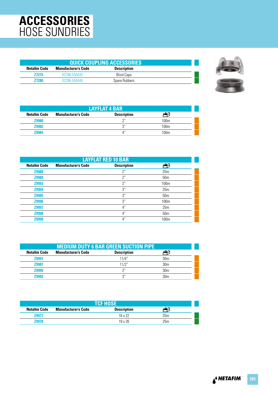# **ACCESSORIES** HOSE SUNDRIES

| <b>QUICK COUPLING ACCESSORIES</b> |                     |                    |  |
|-----------------------------------|---------------------|--------------------|--|
| Netafim Code                      | Manufacturer's Code | <b>Description</b> |  |
| <b>Z7275</b>                      | 02296-550435        | <b>Blind Caps</b>  |  |
| 77280                             | 02296-550440        | Spare Rubbers      |  |



| <b>LAYFLAT 4 BAR</b> |                            |                    |      |
|----------------------|----------------------------|--------------------|------|
| <b>Netafim Code</b>  | <b>Manufacturer's Code</b> | <b>Description</b> |      |
| <b>Z9980</b>         |                            | $\bigcap$          | 100m |
| <b>Z9982</b>         |                            | יי כי              | 100m |
| 79984                |                            | $\Lambda''$        | 100m |

| <b>LAYFLAT RED 10 BAR</b> |                            |                    |                  |
|---------------------------|----------------------------|--------------------|------------------|
| <b>Netafim Code</b>       | <b>Manufacturer's Code</b> | <b>Description</b> |                  |
| Z9988                     |                            | $2^{\prime\prime}$ | 25m              |
| Z9989                     |                            | $2^{\prime\prime}$ | 50 <sub>m</sub>  |
| Z9993                     |                            | 2 <sup>n</sup>     | 100 <sub>m</sub> |
| Z9994                     |                            | 3''                | 25m              |
| Z9995                     |                            | 3''                | 50 <sub>m</sub>  |
| Z9996                     |                            | 3''                | 100 <sub>m</sub> |
| Z9997                     |                            | $4^{\prime\prime}$ | 25m              |
| Z9998                     |                            | 4"                 | 50 <sub>m</sub>  |
| <b>Z9999</b>              |                            | 4"                 | 100 <sub>m</sub> |

| <b>MEDIUM DUTY 6 BAR GREEN SUCTION PIPE</b> |                            |                    |                 |  |
|---------------------------------------------|----------------------------|--------------------|-----------------|--|
| <b>Netafim Code</b>                         | <b>Manufacturer's Code</b> | <b>Description</b> |                 |  |
| <b>Z9991</b>                                |                            | 11/4"              | 30 <sub>m</sub> |  |
| Z9987                                       |                            | 11/2"              | 30 <sub>m</sub> |  |
| <b>Z9990</b>                                |                            | $\Omega$           | 30 <sub>m</sub> |  |
| 79992                                       |                            | $\bigcap$          | 30 <sub>m</sub> |  |

| <b>TCF HOSE</b>     |                            |                    |     |  |
|---------------------|----------------------------|--------------------|-----|--|
| <b>Netafim Code</b> | <b>Manufacturer's Code</b> | <b>Description</b> |     |  |
| <b>Z9977</b>        |                            | $16 \times 22$     | 25m |  |
| Z9978               |                            | $19 \times 26$     | 25m |  |